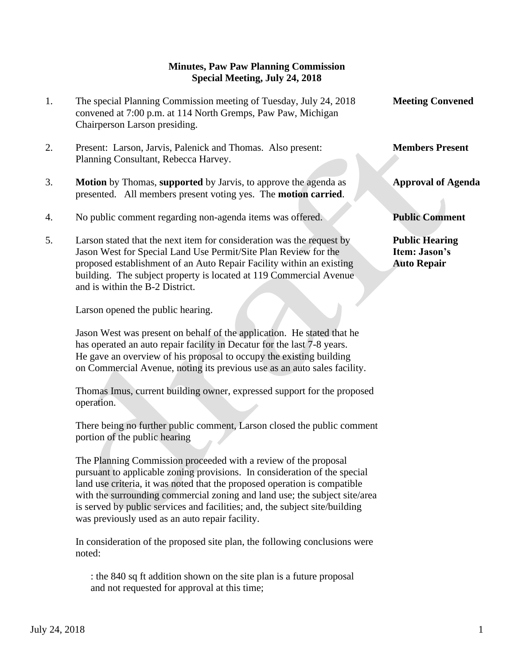## **Minutes, Paw Paw Planning Commission Special Meeting, July 24, 2018**

- 1. The special Planning Commission meeting of Tuesday, July 24, 2018 Meeting Convened convened at 7:00 p.m. at 114 North Gremps, Paw Paw, Michigan Chairperson Larson presiding.
- 2. Present: Larson, Jarvis, Palenick and Thomas. Also present: **Members Present** Planning Consultant, Rebecca Harvey.
- 3. **Motion** by Thomas, **supported** by Jarvis, to approve the agenda as **Approval of Agenda** presented. All members present voting yes. The **motion carried**.
- 4. No public comment regarding non-agenda items was offered. **Public Comment**
- 5. Larson stated that the next item for consideration was the request by **Public Hearing** Jason West for Special Land Use Permit/Site Plan Review for the **Item: Jason's** proposed establishment of an Auto Repair Facility within an existing **Auto Repair** building. The subject property is located at 119 Commercial Avenue and is within the B-2 District.

Larson opened the public hearing.

 Jason West was present on behalf of the application. He stated that he has operated an auto repair facility in Decatur for the last 7-8 years. He gave an overview of his proposal to occupy the existing building on Commercial Avenue, noting its previous use as an auto sales facility.

 Thomas Imus, current building owner, expressed support for the proposed operation.

 There being no further public comment, Larson closed the public comment portion of the public hearing

 The Planning Commission proceeded with a review of the proposal pursuant to applicable zoning provisions. In consideration of the special land use criteria, it was noted that the proposed operation is compatible with the surrounding commercial zoning and land use; the subject site/area is served by public services and facilities; and, the subject site/building was previously used as an auto repair facility.

In consideration of the proposed site plan, the following conclusions were noted:

: the 840 sq ft addition shown on the site plan is a future proposal and not requested for approval at this time;